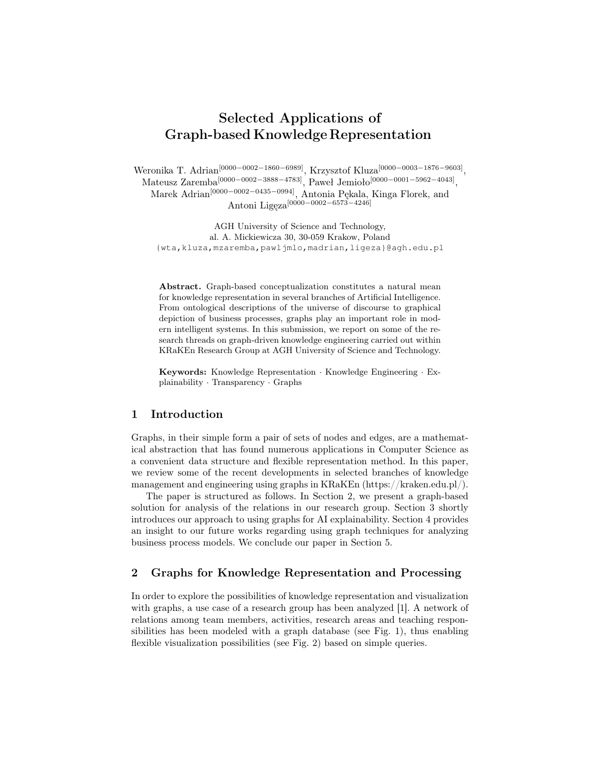# Selected Applications of Graph-based Knowledge Representation

Weronika T. Adrian[0000−0002−1860−6989], Krzysztof Kluza[0000−0003−1876−9603] ,  $\text{Mateurs } \text{Zaremba}^{[0000-0002-3888-4783]}, \text{Pawel Jemioło}^{[0000-0001-5962-4043]},$ Marek Adrian[0000−0002−0435−0994], Antonia Pękala, Kinga Florek, and Antoni Ligęza[0000−0002−6573−4246]

AGH University of Science and Technology, al. A. Mickiewicza 30, 30-059 Krakow, Poland {wta,kluza,mzaremba,pawljmlo,madrian,ligeza}@agh.edu.pl

Abstract. Graph-based conceptualization constitutes a natural mean for knowledge representation in several branches of Artificial Intelligence. From ontological descriptions of the universe of discourse to graphical depiction of business processes, graphs play an important role in modern intelligent systems. In this submission, we report on some of the research threads on graph-driven knowledge engineering carried out within KRaKEn Research Group at AGH University of Science and Technology.

Keywords: Knowledge Representation · Knowledge Engineering · Explainability · Transparency · Graphs

#### 1 Introduction

Graphs, in their simple form a pair of sets of nodes and edges, are a mathematical abstraction that has found numerous applications in Computer Science as a convenient data structure and flexible representation method. In this paper, we review some of the recent developments in selected branches of knowledge management and engineering using graphs in KRaKEn (https://kraken.edu.pl/).

The paper is structured as follows. In Section 2, we present a graph-based solution for analysis of the relations in our research group. Section 3 shortly introduces our approach to using graphs for AI explainability. Section 4 provides an insight to our future works regarding using graph techniques for analyzing business process models. We conclude our paper in Section 5.

# 2 Graphs for Knowledge Representation and Processing

In order to explore the possibilities of knowledge representation and visualization with graphs, a use case of a research group has been analyzed [1]. A network of relations among team members, activities, research areas and teaching responsibilities has been modeled with a graph database (see Fig. 1), thus enabling flexible visualization possibilities (see Fig. 2) based on simple queries.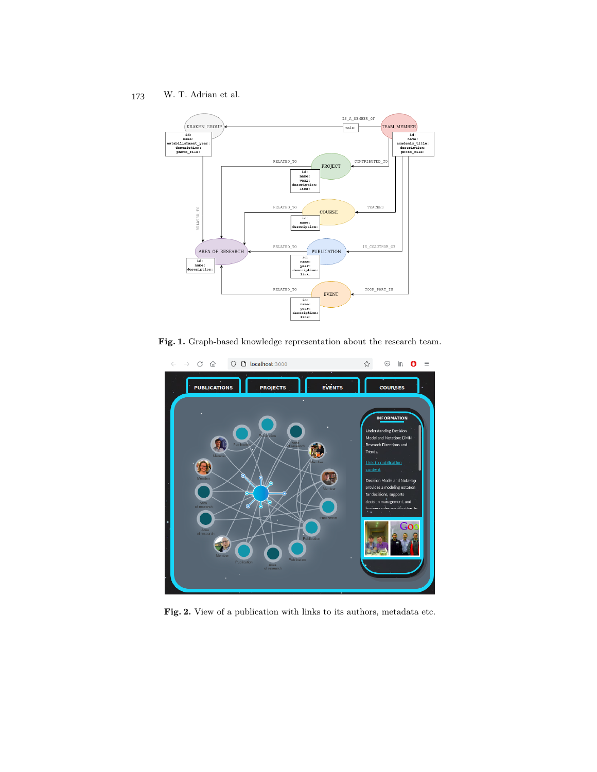W. T. Adrian et al. 173



Fig. 1. Graph-based knowledge representation about the research team.



Fig. 2. View of a publication with links to its authors, metadata etc.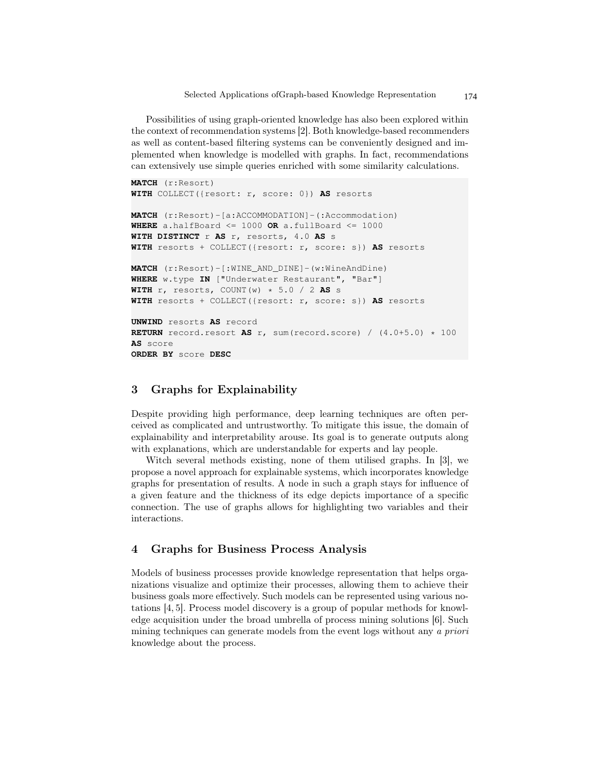Selected Applications ofGraph-based Knowledge Representation

Possibilities of using graph-oriented knowledge has also been explored within the context of recommendation systems [2]. Both knowledge-based recommenders as well as content-based filtering systems can be conveniently designed and implemented when knowledge is modelled with graphs. In fact, recommendations can extensively use simple queries enriched with some similarity calculations.

```
MATCH (r:Resort)
WITH COLLECT({resort: r, score: 0}) AS resorts
MATCH (r:Resort)-[a:ACCOMMODATION]-(:Accommodation)
WHERE a.halfBoard \leq 1000 OR a.fullBoard \leq 1000
WITH DISTINCT r AS r, resorts, 4.0 AS s
WITH resorts + COLLECT({resort: r, score: s}) AS resorts
MATCH (r:Resort)-[:WINE_AND_DINE]-(w:WineAndDine)
WHERE w.type IN ["Underwater Restaurant", "Bar"]
WITH r, resorts, COUNT(w) * 5.0 / 2 AS s
WITH resorts + COLLECT({resort: r, score: s}) AS resorts
UNWIND resorts AS record
RETURN record.resort AS r, sum(record.score) / (4.0+5.0) * 100
AS score
ORDER BY score DESC
```
## 3 Graphs for Explainability

Despite providing high performance, deep learning techniques are often perceived as complicated and untrustworthy. To mitigate this issue, the domain of explainability and interpretability arouse. Its goal is to generate outputs along with explanations, which are understandable for experts and lay people.

Witch several methods existing, none of them utilised graphs. In [3], we propose a novel approach for explainable systems, which incorporates knowledge graphs for presentation of results. A node in such a graph stays for influence of a given feature and the thickness of its edge depicts importance of a specific connection. The use of graphs allows for highlighting two variables and their interactions.

## 4 Graphs for Business Process Analysis

Models of business processes provide knowledge representation that helps organizations visualize and optimize their processes, allowing them to achieve their business goals more effectively. Such models can be represented using various notations [4, 5]. Process model discovery is a group of popular methods for knowledge acquisition under the broad umbrella of process mining solutions [6]. Such mining techniques can generate models from the event logs without any a priori knowledge about the process.